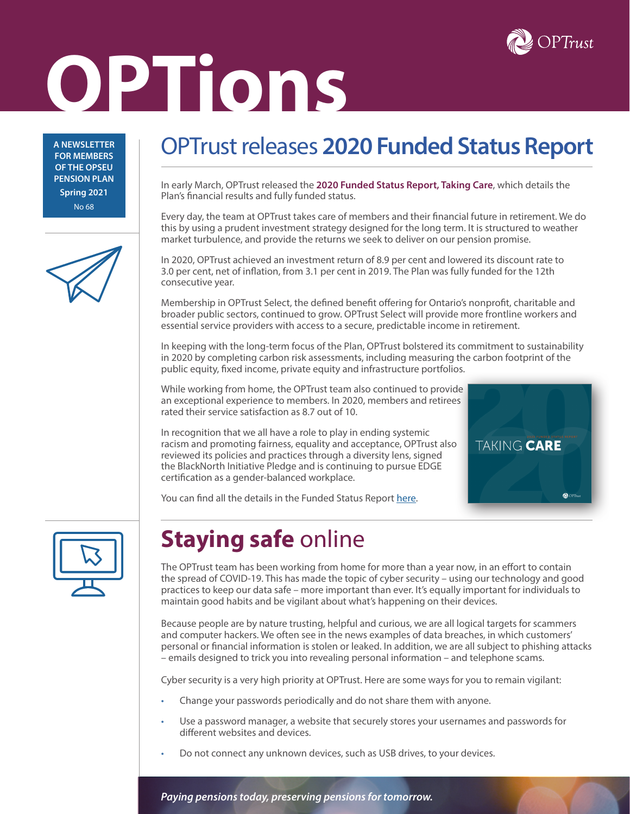

# **OPTions**

**A NEWSLETTER FOR MEMBERS OF THE OPSEU PENSION PLAN Spring 2021** No 68

# OPTrust releases **2020 Funded Status Report**

In early March, OPTrust released the **2020 Funded Status Report, Taking Care**, which details the Plan's financial results and fully funded status.

Every day, the team at OPTrust takes care of members and their financial future in retirement. We do this by using a prudent investment strategy designed for the long term. It is structured to weather market turbulence, and provide the returns we seek to deliver on our pension promise.

In 2020, OPTrust achieved an investment return of 8.9 per cent and lowered its discount rate to 3.0 per cent, net of inflation, from 3.1 per cent in 2019. The Plan was fully funded for the 12th consecutive year.

Membership in OPTrust Select, the defined benefit offering for Ontario's nonprofit, charitable and broader public sectors, continued to grow. OPTrust Select will provide more frontline workers and essential service providers with access to a secure, predictable income in retirement.

In keeping with the long-term focus of the Plan, OPTrust bolstered its commitment to sustainability in 2020 by completing carbon risk assessments, including measuring the carbon footprint of the public equity, fixed income, private equity and infrastructure portfolios.

While working from home, the OPTrust team also continued to provide an exceptional experience to members. In 2020, members and retirees rated their service satisfaction as 8.7 out of 10.

In recognition that we all have a role to play in ending systemic racism and promoting fairness, equality and acceptance, OPTrust also reviewed its policies and practices through a diversity lens, signed the BlackNorth Initiative Pledge and is continuing to pursue EDGE certification as a gender-balanced workplace.



You can find all the details in the Funded Status Report [here](https://optrust.com/annualreports/default.asp).



# **Staying safe** online

The OPTrust team has been working from home for more than a year now, in an effort to contain the spread of COVID-19. This has made the topic of cyber security – using our technology and good practices to keep our data safe – more important than ever. It's equally important for individuals to maintain good habits and be vigilant about what's happening on their devices.

Because people are by nature trusting, helpful and curious, we are all logical targets for scammers and computer hackers. We often see in the news examples of data breaches, in which customers' personal or financial information is stolen or leaked. In addition, we are all subject to phishing attacks – emails designed to trick you into revealing personal information – and telephone scams.

Cyber security is a very high priority at OPTrust. Here are some ways for you to remain vigilant:

- Change your passwords periodically and do not share them with anyone.
- Use a password manager, a website that securely stores your usernames and passwords for different websites and devices.
- Do not connect any unknown devices, such as USB drives, to your devices.

*Paying pensions today, preserving pensions for tomorrow.*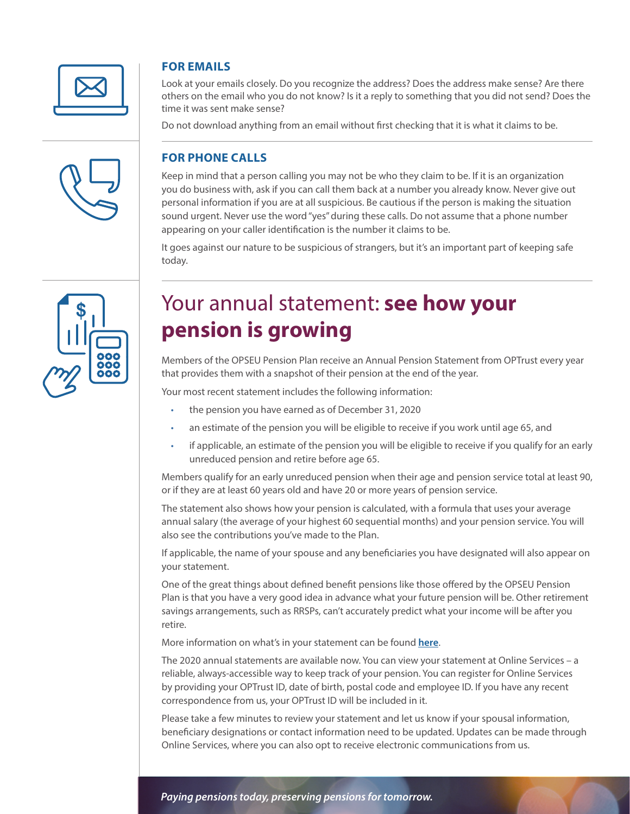

## **FOR EMAILS**

Look at your emails closely. Do you recognize the address? Does the address make sense? Are there others on the email who you do not know? Is it a reply to something that you did not send? Does the time it was sent make sense?

Do not download anything from an email without first checking that it is what it claims to be.

#### **FOR PHONE CALLS**

Keep in mind that a person calling you may not be who they claim to be. If it is an organization you do business with, ask if you can call them back at a number you already know. Never give out personal information if you are at all suspicious. Be cautious if the person is making the situation sound urgent. Never use the word "yes" during these calls. Do not assume that a phone number appearing on your caller identification is the number it claims to be.

It goes against our nature to be suspicious of strangers, but it's an important part of keeping safe today.



## Your annual statement: **see how your pension is growing**

Members of the OPSEU Pension Plan receive an Annual Pension Statement from OPTrust every year that provides them with a snapshot of their pension at the end of the year.

Your most recent statement includes the following information:

- the pension you have earned as of December 31, 2020
- an estimate of the pension you will be eligible to receive if you work until age 65, and
- if applicable, an estimate of the pension you will be eligible to receive if you qualify for an early unreduced pension and retire before age 65.

Members qualify for an early unreduced pension when their age and pension service total at least 90, or if they are at least 60 years old and have 20 or more years of pension service.

The statement also shows how your pension is calculated, with a formula that uses your average annual salary (the average of your highest 60 sequential months) and your pension service. You will also see the contributions you've made to the Plan.

If applicable, the name of your spouse and any beneficiaries you have designated will also appear on your statement.

One of the great things about defined benefit pensions like those offered by the OPSEU Pension Plan is that you have a very good idea in advance what your future pension will be. Other retirement savings arrangements, such as RRSPs, can't accurately predict what your income will be after you retire.

More information on what's in your statement can be found **[here](https://optrust.com/members/APS/default.asp)**.

The 2020 annual statements are available now. You can view your statement at Online Services – a reliable, always-accessible way to keep track of your pension. You can register for Online Services by providing your OPTrust ID, date of birth, postal code and employee ID. If you have any recent correspondence from us, your OPTrust ID will be included in it.

Please take a few minutes to review your statement and let us know if your spousal information, beneficiary designations or contact information need to be updated. Updates can be made through Online Services, where you can also opt to receive electronic communications from us.

*Paying pensions today, preserving pensions for tomorrow.*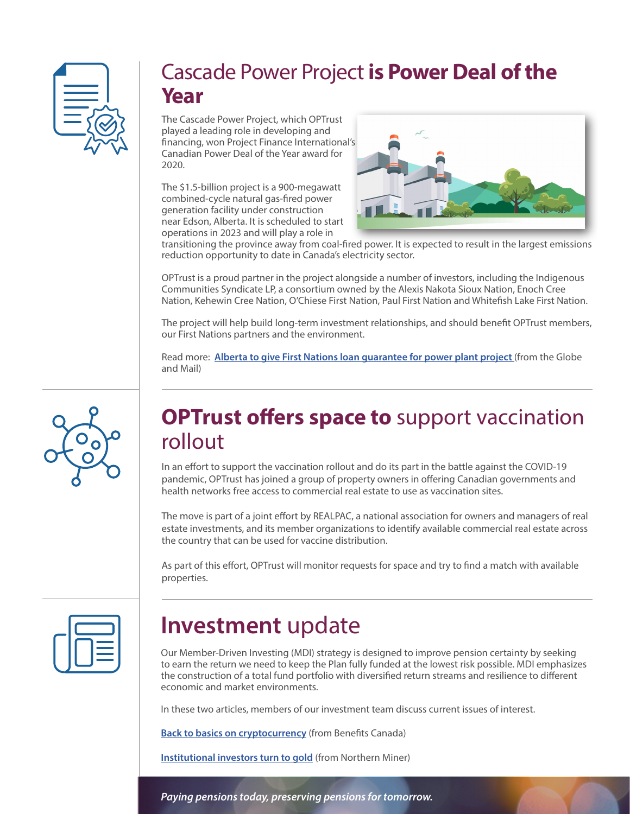

## Cascade Power Project **is Power Deal of the Year**

The Cascade Power Project, which OPTrust played a leading role in developing and financing, won Project Finance International's Canadian Power Deal of the Year award for 2020.

The \$1.5-billion project is a 900-megawatt combined-cycle natural gas-fired power generation facility under construction near Edson, Alberta. It is scheduled to start operations in 2023 and will play a role in



transitioning the province away from coal-fired power. It is expected to result in the largest emissions reduction opportunity to date in Canada's electricity sector.

OPTrust is a proud partner in the project alongside a number of investors, including the Indigenous Communities Syndicate LP, a consortium owned by the Alexis Nakota Sioux Nation, Enoch Cree Nation, Kehewin Cree Nation, O'Chiese First Nation, Paul First Nation and Whitefish Lake First Nation.

The project will help build long-term investment relationships, and should benefit OPTrust members, our First Nations partners and the environment.

Read more: **[Alberta to give First Nations loan guarantee for power plant project](https://www.theglobeandmail.com/canada/alberta/article-alberta-to-give-first-nations-loan-guarantee-for-power-plant-project/)** (from the Globe and Mail)



## **OPTrust offers space to** support vaccination rollout

In an effort to support the vaccination rollout and do its part in the battle against the COVID-19 pandemic, OPTrust has joined a group of property owners in offering Canadian governments and health networks free access to commercial real estate to use as vaccination sites.

The move is part of a joint effort by REALPAC, a national association for owners and managers of real estate investments, and its member organizations to identify available commercial real estate across the country that can be used for vaccine distribution.

As part of this effort, OPTrust will monitor requests for space and try to find a match with available properties.

## **Investment** update

Our Member-Driven Investing (MDI) strategy is designed to improve pension certainty by seeking to earn the return we need to keep the Plan fully funded at the lowest risk possible. MDI emphasizes the construction of a total fund portfolio with diversified return streams and resilience to different economic and market environments.

In these two articles, members of our investment team discuss current issues of interest.

**[Back to basics on cryptocurrency](https://www.benefitscanada.com/news/bencan/back-to-basics-on-cryptocurrency/)** (from Benefits Canada)

**[Institutional investors turn to gold](https://www.northernminer.com/analysis/institutional-investors-turn-to-gold/1003828039/)** (from Northern Miner)

*Paying pensions today, preserving pensions for tomorrow.*